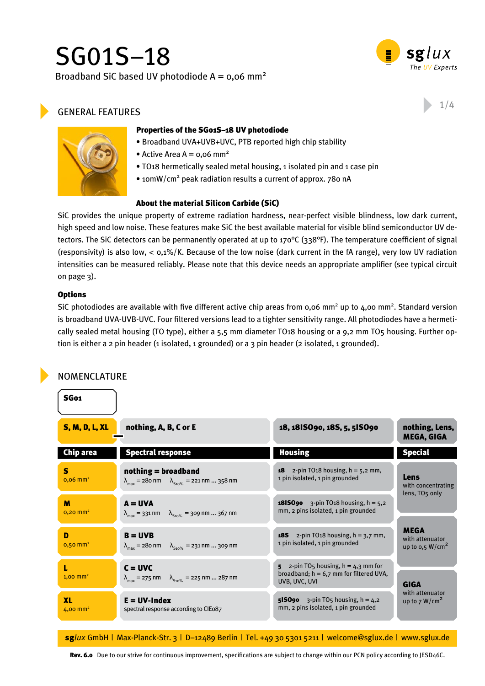# SG01S–18 Broadband SiC based UV photodiode  $A = 0.06$  mm<sup>2</sup>



# GENERAL FEATURES  $1/4$



- Broadband UVA+UVB+UVC, PTB reported high chip stability
- Active Area A =  $0.06$  mm<sup>2</sup>
- TO18 hermetically sealed metal housing, 1 isolated pin and 1 case pin
- 10mW/cm<sup>2</sup> peak radiation results a current of approx. 780 nA

#### About the material Silicon Carbide (SiC)

SiC provides the unique property of extreme radiation hardness, near-perfect visible blindness, low dark current, high speed and low noise. These features make SiC the best available material for visible blind semiconductor UV detectors. The SiC detectors can be permanently operated at up to 170°C (338°F). The temperature coefficient of signal (responsivity) is also low,  $< 0.1\%/K$ . Because of the low noise (dark current in the fA range), very low UV radiation intensities can be measured reliably. Please note that this device needs an appropriate amplifier (see typical circuit on page 3).

#### **Options**

SG01

SiC photodiodes are available with five different active chip areas from  $0.06$  mm<sup>2</sup> up to  $4.00$  mm<sup>2</sup>. Standard version is broadband UVA-UVB-UVC. Four filtered versions lead to a tighter sensitivity range. All photodiodes have a hermetically sealed metal housing (TO type), either a 5,5 mm diameter TO18 housing or a 9,2 mm TO5 housing. Further option is either a 2 pin header (1 isolated, 1 grounded) or a 3 pin header (2 isolated, 1 grounded).

# Nomenclature

| <b>S, M, D, L, XL</b>             | nothing, A, B, C or E                                                                                                      | 18, 1815090, 185, 5, 515090                                                                                        | nothing, Lens,<br><b>MEGA, GIGA</b>                          |  |
|-----------------------------------|----------------------------------------------------------------------------------------------------------------------------|--------------------------------------------------------------------------------------------------------------------|--------------------------------------------------------------|--|
| Chip area                         | <b>Spectral response</b>                                                                                                   | <b>Housing</b>                                                                                                     | <b>Special</b>                                               |  |
| S<br>$0,06$ mm <sup>2</sup>       | $nothing = broadband$<br>$\lambda_{\text{max}} = 280 \text{ nm}$ $\lambda_{\text{S10\%}} = 221 \text{ nm}  358 \text{ nm}$ | <b>18</b> 2-pin TO <sub>18</sub> housing, $h = 5,2$ mm,<br>1 pin isolated, 1 pin grounded                          | Lens<br>with concentrating<br>lens, TO <sub>5</sub> only     |  |
| M<br>$0,20$ mm <sup>2</sup>       | $A = UVA$<br>$\lambda_{\text{max}} = 331 \text{ nm}$ $\lambda_{\text{S10\%}} = 309 \text{ nm}  367 \text{ nm}$             | <b>1815090</b> 3-pin TO18 housing, $h = 5,2$<br>mm, 2 pins isolated, 1 pin grounded                                |                                                              |  |
| D<br>$0,50$ mm <sup>2</sup>       | $B = UVB$<br>$\lambda_{\text{max}} = 280 \text{ nm}$ $\lambda_{\text{S10\%}} = 231 \text{ nm}  309 \text{ nm}$             | <b>185</b> 2-pin TO <sub>18</sub> housing, $h = 3.7$ mm,<br>1 pin isolated, 1 pin grounded                         | <b>MEGA</b><br>with attenuator<br>up to $0.5 \text{ W/cm}^2$ |  |
| $1,00$ mm <sup>2</sup>            | $C = UVC$<br>$\lambda_{\text{max}} = 275 \text{ nm}$ $\lambda_{\text{510\%}} = 225 \text{ nm}  287 \text{ nm}$             | 5 $2$ -pin TO <sub>5</sub> housing, $h = 4,3$ mm for<br>broadband; $h = 6,7$ mm for filtered UVA,<br>UVB, UVC, UVI | <b>GIGA</b>                                                  |  |
| <b>XL</b><br>4,00 mm <sup>2</sup> | $E = UV$ -Index<br>spectral response according to CIEo87                                                                   | <b>515090</b> 3-pin TO <sub>5</sub> housing, $h = 4,2$<br>mm, 2 pins isolated, 1 pin grounded                      | with attenuator<br>up to $7 W/cm2$                           |  |

sg*lux* GmbH | Max-Planck-Str. 3 | D–12489 Berlin | Tel. +49 30 5301 5211 | welcome@sglux.de | www.sglux.de

Rev. 6.0 Due to our strive for continuous improvement, specifications are subject to change within our PCN policy according to JESD46C.

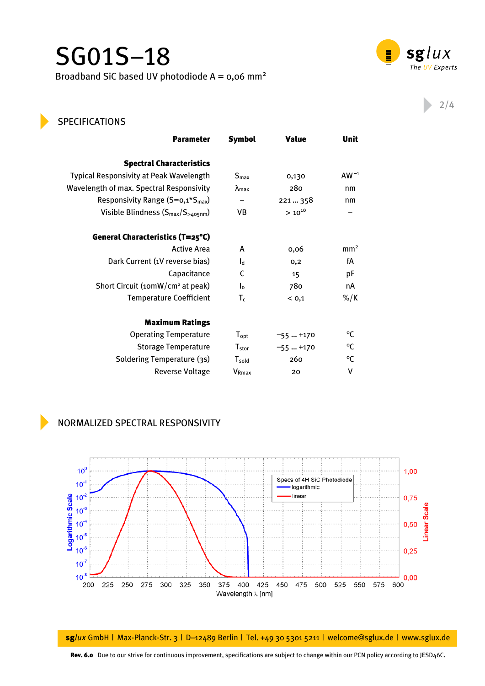# SG01S–18 Broadband SiC based UV photodiode  $A = 0.06$  mm<sup>2</sup>



Unit

# 2/4

# **SPECIFICATIONS**

| <b>Parameter</b>                               | <b>Symbol</b>          | <b>Value</b> | Unit            |
|------------------------------------------------|------------------------|--------------|-----------------|
| <b>Spectral Characteristics</b>                |                        |              |                 |
| <b>Typical Responsivity at Peak Wavelength</b> | S <sub>max</sub>       | 0,130        | AW $^{-1}$      |
| Wavelength of max. Spectral Responsivity       | $\lambda_{\text{max}}$ | 280          | nm              |
| Responsivity Range $(S=0,1*S_{max})$           | -                      | 221  358     | nm              |
| Visible Blindness $(S_{max}/S_{>405nm})$       | VB                     | $> 10^{10}$  | -               |
| General Characteristics (T=25°C)               |                        |              |                 |
| <b>Active Area</b>                             | A                      | 0,06         | mm <sup>2</sup> |
| Dark Current (1V reverse bias)                 | $I_d$                  | 0,2          | fА              |
| Capacitance                                    | C                      | 15           | pF              |
| Short Circuit (10mW/cm <sup>2</sup> at peak)   | $I_0$                  | 780          | nA              |
| <b>Temperature Coefficient</b>                 | $T_c$                  | < 0.1        | %/K             |
| <b>Maximum Ratings</b>                         |                        |              |                 |
| <b>Operating Temperature</b>                   | $T_{\rm opt}$          | $-55+170$    | °C              |
| <b>Storage Temperature</b>                     | $T_{stor}$             | $-55+170$    | °C              |
| Soldering Temperature (3s)                     | $T_{\mathsf{gold}}$    | 260          | °C              |
| <b>Reverse Voltage</b>                         | V <sub>Rmax</sub>      | 20           | ٧               |

# Normalized Spectral Responsivity



sg*lux* GmbH | Max-Planck-Str. 3 | D–12489 Berlin | Tel. +49 30 5301 5211 | welcome@sglux.de | www.sglux.de

Rev. 6.0 Due to our strive for continuous improvement, specifications are subject to change within our PCN policy according to JESD46C.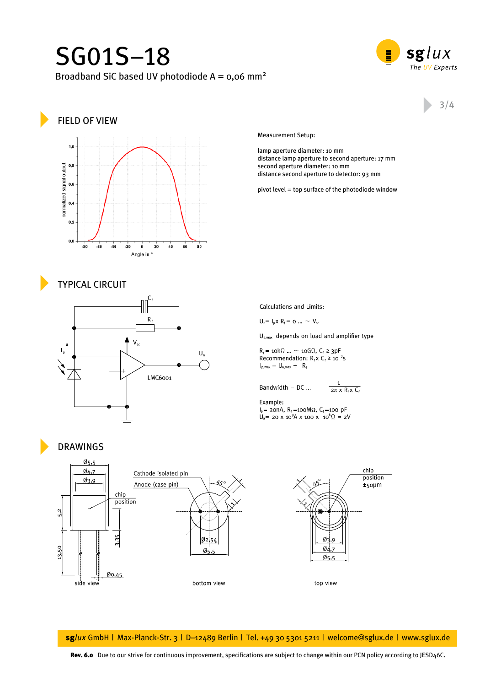# SG01S–18 Broadband SiC based UV photodiode  $A = 0.06$  mm<sup>2</sup>



# field of view



# Measurement Setup:

lamp aperture diameter: 10 mm distance lamp aperture to second aperture: 17 mm second aperture diameter: 10 mm distance second aperture to detector: 93 mm

pivot level = top surface of the photodiode window

## typical Circuit



## Drawings

Calculations and Limits:

 $U_a = I_p x R_f = 0 ... ~V_{cc}$ 

 $U_{a,max}$  depends on load and amplifier type

 $R_f$  = 10k $\Omega$  ... ~ 10G $\Omega$ ,  $C_f \ge 3pF$ Recommendation:  $R_f$  x  $C_f$  ≥ 10<sup>-3</sup>s  $I_{p,max} = U_{a,max} \div R_f$ 

Bandwidth =  $DC$  ...

$$
-\frac{1}{2\pi\;X\;R_fX\;C_f}
$$

Example:  $I_p$  = 20nA,  $R_f$  = 100M $\Omega$ ,  $C_f$  = 100 pF  $U_a$ = 20 x 10<sup>9</sup>A x 100 x 10<sup>6</sup> $\Omega$  = 2V



sg*lux* GmbH | Max-Planck-Str. 3 | D–12489 Berlin | Tel. +49 30 5301 5211 | welcome@sglux.de | www.sglux.de

Rev. 6.0 Due to our strive for continuous improvement, specifications are subject to change within our PCN policy according to JESD46C.